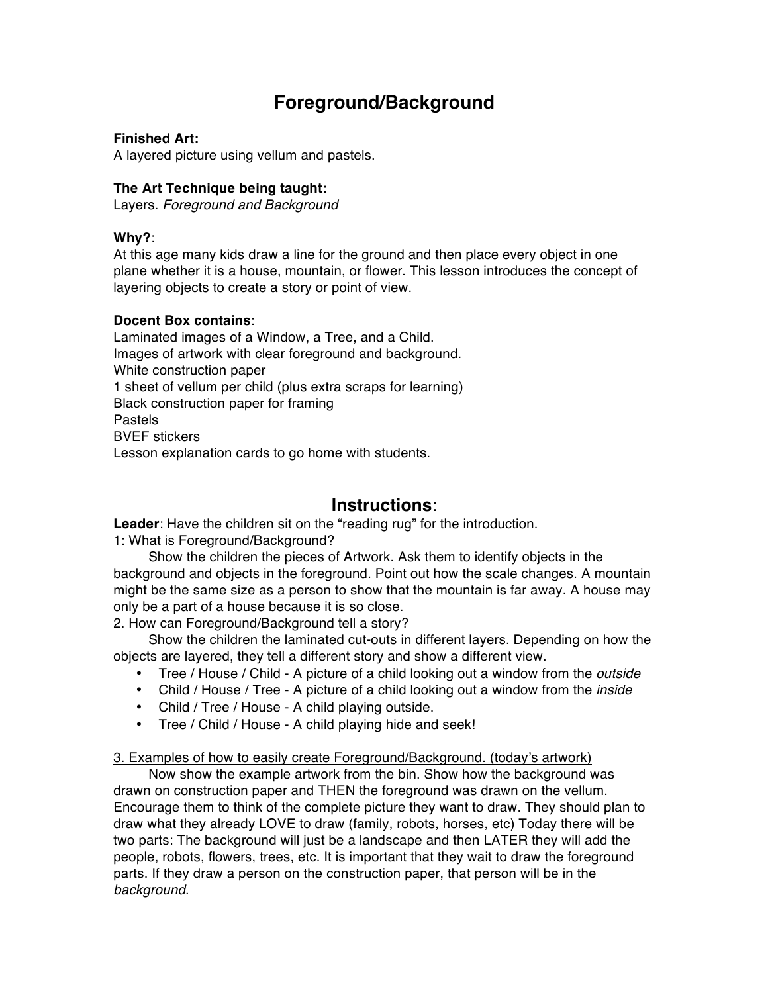# **Foreground/Background**

### **Finished Art:**

A layered picture using vellum and pastels.

#### **The Art Technique being taught:**

Layers. *Foreground and Background*

#### **Why?**:

At this age many kids draw a line for the ground and then place every object in one plane whether it is a house, mountain, or flower. This lesson introduces the concept of layering objects to create a story or point of view.

#### **Docent Box contains**:

Laminated images of a Window, a Tree, and a Child. Images of artwork with clear foreground and background. White construction paper 1 sheet of vellum per child (plus extra scraps for learning) Black construction paper for framing Pastels BVEF stickers Lesson explanation cards to go home with students.

## **Instructions**:

**Leader**: Have the children sit on the "reading rug" for the introduction. 1: What is Foreground/Background?

Show the children the pieces of Artwork. Ask them to identify objects in the background and objects in the foreground. Point out how the scale changes. A mountain might be the same size as a person to show that the mountain is far away. A house may only be a part of a house because it is so close.

2. How can Foreground/Background tell a story?

Show the children the laminated cut-outs in different layers. Depending on how the objects are layered, they tell a different story and show a different view.

- Tree / House / Child A picture of a child looking out a window from the *outside*
- Child / House / Tree A picture of a child looking out a window from the *inside*
- Child / Tree / House A child playing outside.
- Tree / Child / House A child playing hide and seek!

#### 3. Examples of how to easily create Foreground/Background. (today's artwork)

Now show the example artwork from the bin. Show how the background was drawn on construction paper and THEN the foreground was drawn on the vellum. Encourage them to think of the complete picture they want to draw. They should plan to draw what they already LOVE to draw (family, robots, horses, etc) Today there will be two parts: The background will just be a landscape and then LATER they will add the people, robots, flowers, trees, etc. It is important that they wait to draw the foreground parts. If they draw a person on the construction paper, that person will be in the *background*.